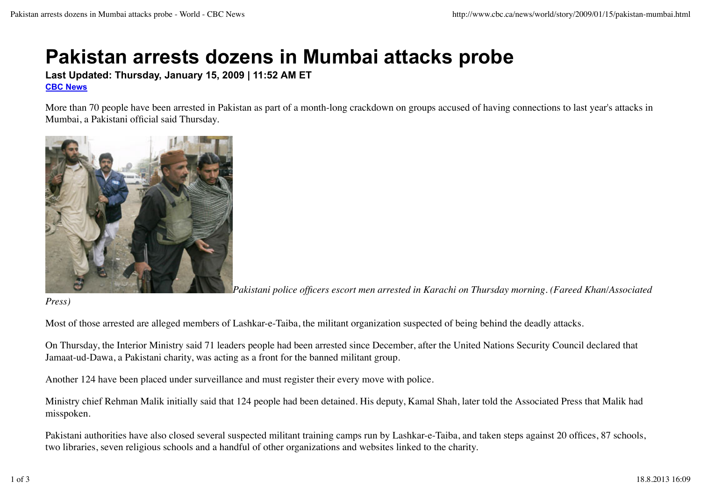# **Pakistan arrests dozens in Mumbai attacks probe**

**Last Updated: Thursday, January 15, 2009 | 11:52 AM ET CBC News**

More than 70 people have been arrested in Pakistan as part of a month-long crackdown on groups accused of having connections to last year's attacks in Mumbai, a Pakistani official said Thursday.



*Pakistani police officers escort men arrested in Karachi on Thursday morning. (Fareed Khan/Associated*

*Press)*

Most of those arrested are alleged members of Lashkar-e-Taiba, the militant organization suspected of being behind the deadly attacks.

On Thursday, the Interior Ministry said 71 leaders people had been arrested since December, after the United Nations Security Council declared that Jamaat-ud-Dawa, a Pakistani charity, was acting as a front for the banned militant group.

Another 124 have been placed under surveillance and must register their every move with police.

Ministry chief Rehman Malik initially said that 124 people had been detained. His deputy, Kamal Shah, later told the Associated Press that Malik had misspoken.

Pakistani authorities have also closed several suspected militant training camps run by Lashkar-e-Taiba, and taken steps against 20 offices, 87 schools, two libraries, seven religious schools and a handful of other organizations and websites linked to the charity.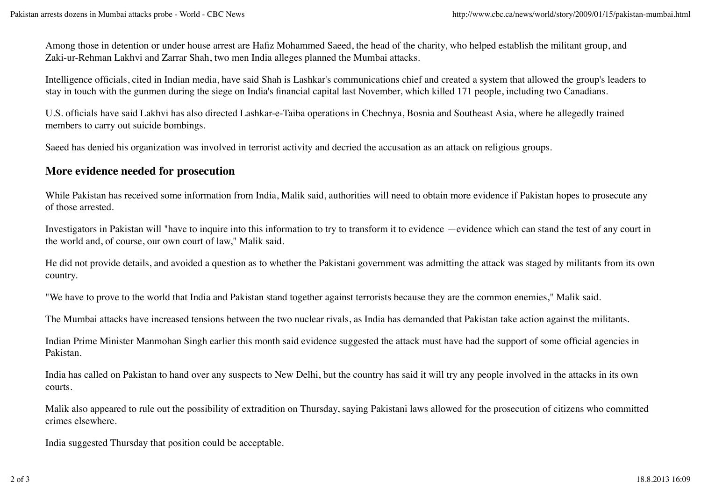Among those in detention or under house arrest are Hafiz Mohammed Saeed, the head of the charity, who helped establish the militant group, and Zaki-ur-Rehman Lakhvi and Zarrar Shah, two men India alleges planned the Mumbai attacks.

Intelligence officials, cited in Indian media, have said Shah is Lashkar's communications chief and created a system that allowed the group's leaders to stay in touch with the gunmen during the siege on India's financial capital last November, which killed 171 people, including two Canadians.

U.S. officials have said Lakhvi has also directed Lashkar-e-Taiba operations in Chechnya, Bosnia and Southeast Asia, where he allegedly trained members to carry out suicide bombings.

Saeed has denied his organization was involved in terrorist activity and decried the accusation as an attack on religious groups.

## **More evidence needed for prosecution**

While Pakistan has received some information from India, Malik said, authorities will need to obtain more evidence if Pakistan hopes to prosecute any of those arrested.

Investigators in Pakistan will "have to inquire into this information to try to transform it to evidence —evidence which can stand the test of any court in the world and, of course, our own court of law," Malik said.

He did not provide details, and avoided a question as to whether the Pakistani government was admitting the attack was staged by militants from its own country.

"We have to prove to the world that India and Pakistan stand together against terrorists because they are the common enemies," Malik said.

The Mumbai attacks have increased tensions between the two nuclear rivals, as India has demanded that Pakistan take action against the militants.

Indian Prime Minister Manmohan Singh earlier this month said evidence suggested the attack must have had the support of some official agencies in Pakistan.

India has called on Pakistan to hand over any suspects to New Delhi, but the country has said it will try any people involved in the attacks in its own courts.

Malik also appeared to rule out the possibility of extradition on Thursday, saying Pakistani laws allowed for the prosecution of citizens who committed crimes elsewhere.

India suggested Thursday that position could be acceptable.